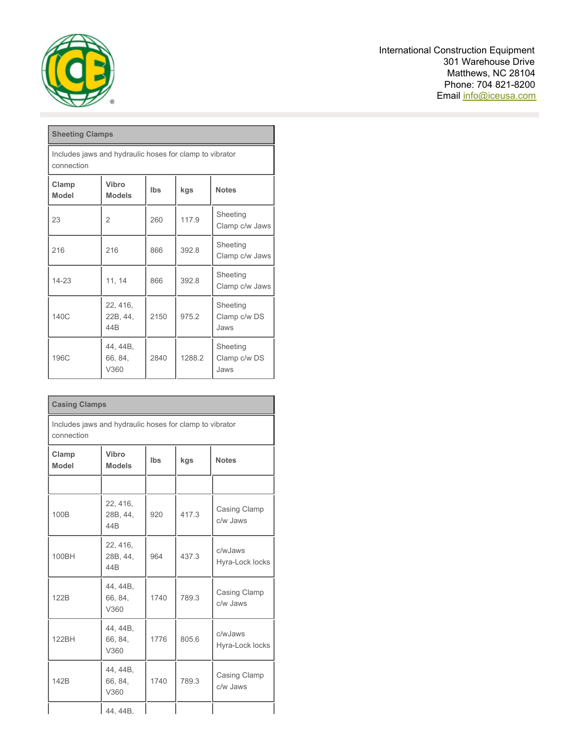

International Construction Equipment 301 Warehouse Drive Matthews, NC 28104 Phone: 704 821-8200 Email [info@iceusa.com](mailto:info@iceusa.com)

| <b>Sheeting Clamps</b>                                                        |                                         |      |        |                                  |  |
|-------------------------------------------------------------------------------|-----------------------------------------|------|--------|----------------------------------|--|
| Includes jaws and hydraulic hoses for clamp to vibrator<br>connection         |                                         |      |        |                                  |  |
| Vibro<br>Clamp<br>Ibs<br>kgs<br><b>Notes</b><br><b>Model</b><br><b>Models</b> |                                         |      |        |                                  |  |
| 23                                                                            | 2                                       | 260  | 1179   | Sheeting<br>Clamp c/w Jaws       |  |
| 216                                                                           | 216                                     | 866  | 392.8  | Sheeting<br>Clamp c/w Jaws       |  |
| $14 - 23$                                                                     | 11, 14                                  | 866  | 392.8  | Sheeting<br>Clamp c/w Jaws       |  |
| 140C                                                                          | 22, 416,<br>22B, 44,<br>44 <sub>B</sub> | 2150 | 975.2  | Sheeting<br>Clamp c/w DS<br>Jaws |  |
| 196C                                                                          | 44, 44B,<br>66, 84,<br>V360             | 2840 | 1288.2 | Sheeting<br>Clamp c/w DS<br>Jaws |  |

| <b>Casing Clamps</b>                                                  |                                                             |      |       |                            |  |  |
|-----------------------------------------------------------------------|-------------------------------------------------------------|------|-------|----------------------------|--|--|
| Includes jaws and hydraulic hoses for clamp to vibrator<br>connection |                                                             |      |       |                            |  |  |
| Clamp<br><b>Model</b>                                                 | Vibro<br><b>lbs</b><br>kgs<br><b>Notes</b><br><b>Models</b> |      |       |                            |  |  |
|                                                                       |                                                             |      |       |                            |  |  |
| 100B                                                                  | 22, 416,<br>28B, 44,<br>44 <sub>B</sub>                     | 920  | 417.3 | Casing Clamp<br>c/w Jaws   |  |  |
| 100BH                                                                 | 22, 416,<br>28B, 44,<br>44B                                 | 964  | 437.3 | c/wJaws<br>Hyra-Lock locks |  |  |
| 122B                                                                  | 44, 44B,<br>66, 84,<br>V360                                 | 1740 | 7893  | Casing Clamp<br>c/w Jaws   |  |  |
| 122BH                                                                 | 44, 44B,<br>66, 84,<br>V360                                 | 1776 | 805.6 | c/wJaws<br>Hyra-Lock locks |  |  |
| 142B                                                                  | 44, 44B,<br>66, 84,<br>V360                                 | 1740 | 789.3 | Casing Clamp<br>c/w Jaws   |  |  |
|                                                                       | 44.44B.                                                     |      |       |                            |  |  |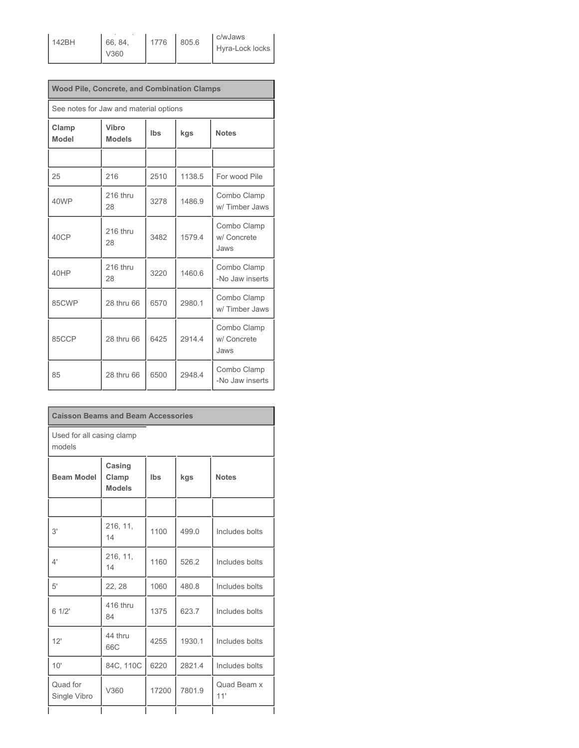142BH

66, 84, V360 1776 805.6

 $44, 44, 44$ 

c/wJaws Hyra-Lock locks

| <b>Wood Pile, Concrete, and Combination Clamps</b> |                        |            |        |                                    |  |
|----------------------------------------------------|------------------------|------------|--------|------------------------------------|--|
| See notes for Jaw and material options             |                        |            |        |                                    |  |
| Clamp<br><b>Model</b>                              | Vibro<br><b>Models</b> | <b>Ibs</b> | kgs    | <b>Notes</b>                       |  |
|                                                    |                        |            |        |                                    |  |
| 25                                                 | 216                    | 2510       | 1138.5 | For wood Pile                      |  |
| 40WP                                               | 216 thru<br>28         | 3278       | 1486.9 | Combo Clamp<br>w/Timber Jaws       |  |
| 40CP                                               | 216 thru<br>28         | 3482       | 15794  | Combo Clamp<br>w/ Concrete<br>Jaws |  |
| 40HP                                               | 216 thru<br>28         | 3220       | 1460.6 | Combo Clamp<br>-No Jaw inserts     |  |
| 85CWP                                              | 28 thru 66             | 6570       | 2980.1 | Combo Clamp<br>w/Timber Jaws       |  |
| 85CCP                                              | 28 thru 66             | 6425       | 2914.4 | Combo Clamp<br>w/ Concrete<br>Jaws |  |
| 85                                                 | 28 thru 66             | 6500       | 29484  | Combo Clamp<br>-No Jaw inserts     |  |

| <b>Caisson Beams and Beam Accessories</b> |                                  |       |        |                    |  |
|-------------------------------------------|----------------------------------|-------|--------|--------------------|--|
| Used for all casing clamp<br>models       |                                  |       |        |                    |  |
| <b>Beam Model</b>                         | Casing<br>Clamp<br><b>Models</b> | Ibs   | kgs    | <b>Notes</b>       |  |
|                                           |                                  |       |        |                    |  |
| 3'                                        | 216, 11,<br>14                   | 1100  | 499.0  | Includes bolts     |  |
| 4'                                        | 216, 11,<br>14                   | 1160  | 526.2  | Includes bolts     |  |
| 5'                                        | 22, 28                           | 1060  | 480.8  | Includes bolts     |  |
| 61/2'                                     | 416 thru<br>84                   | 1375  | 623.7  | Includes bolts     |  |
| 12'                                       | 44 thru<br>66C                   | 4255  | 1930.1 | Includes bolts     |  |
| 10'                                       | 84C, 110C                        | 6220  | 2821.4 | Includes bolts     |  |
| Quad for<br>Single Vibro                  | V360                             | 17200 | 7801.9 | Quad Beam x<br>11' |  |
|                                           |                                  |       |        |                    |  |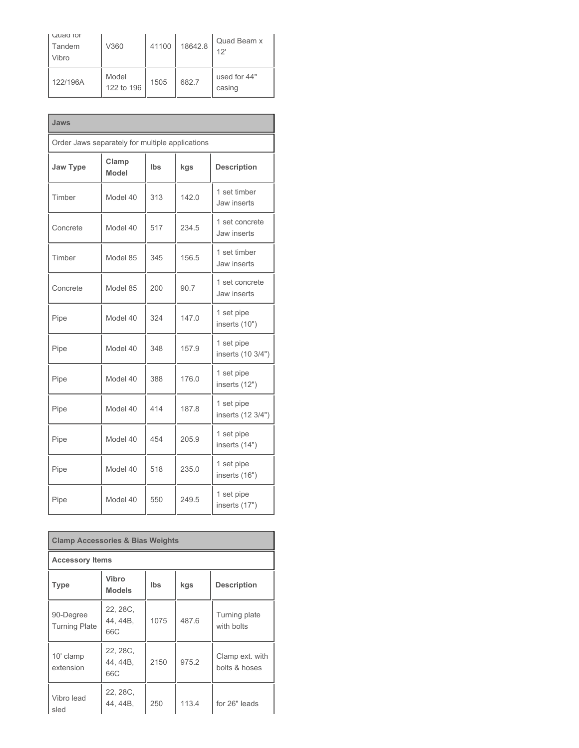| Quad for<br>Tandem<br>Vibro | V360                | 41100 | 18642.8 | Quad Beam x<br>12'     |
|-----------------------------|---------------------|-------|---------|------------------------|
| 122/196A                    | Model<br>122 to 196 | 1505  | 682.7   | used for 44"<br>casing |

| Jaws                                            |                       |     |       |                                 |  |
|-------------------------------------------------|-----------------------|-----|-------|---------------------------------|--|
| Order Jaws separately for multiple applications |                       |     |       |                                 |  |
| <b>Jaw Type</b>                                 | Clamp<br><b>Model</b> | Ibs | kgs   | <b>Description</b>              |  |
| Timber                                          | Model 40              | 313 | 142.0 | 1 set timber<br>Jaw inserts     |  |
| Concrete                                        | Model 40              | 517 | 234.5 | 1 set concrete<br>Jaw inserts   |  |
| Timber                                          | Model 85              | 345 | 156.5 | 1 set timber<br>Jaw inserts     |  |
| Concrete                                        | Model 85              | 200 | 90.7  | 1 set concrete<br>Jaw inserts   |  |
| Pipe                                            | Model 40              | 324 | 147.0 | 1 set pipe<br>inserts (10")     |  |
| Pipe                                            | Model 40              | 348 | 157.9 | 1 set pipe<br>inserts (10 3/4") |  |
| Pipe                                            | Model 40              | 388 | 176.0 | 1 set pipe<br>inserts (12")     |  |
| Pipe                                            | Model 40              | 414 | 187.8 | 1 set pipe<br>inserts (12 3/4") |  |
| Pipe                                            | Model 40              | 454 | 205.9 | 1 set pipe<br>inserts (14")     |  |
| Pipe                                            | Model 40              | 518 | 235.0 | 1 set pipe<br>inserts (16")     |  |
| Pipe                                            | Model 40              | 550 | 249.5 | 1 set pipe<br>inserts (17")     |  |

| <b>Clamp Accessories &amp; Bias Weights</b>                                      |                             |      |       |                                  |  |  |
|----------------------------------------------------------------------------------|-----------------------------|------|-------|----------------------------------|--|--|
| <b>Accessory Items</b>                                                           |                             |      |       |                                  |  |  |
| Vibro<br><b>lbs</b><br>kgs<br><b>Description</b><br><b>Type</b><br><b>Models</b> |                             |      |       |                                  |  |  |
| 90-Degree<br><b>Turning Plate</b>                                                | 22, 28C.<br>44, 44B,<br>66C | 1075 | 4876  | Turning plate<br>with bolts      |  |  |
| 10' clamp<br>extension                                                           | 22, 28C.<br>44, 44B,<br>66C | 2150 | 975.2 | Clamp ext. with<br>bolts & hoses |  |  |
| Vibro lead<br>sled                                                               | 22, 28C,<br>44, 44B,        | 250  | 113.4 | for 26" leads                    |  |  |